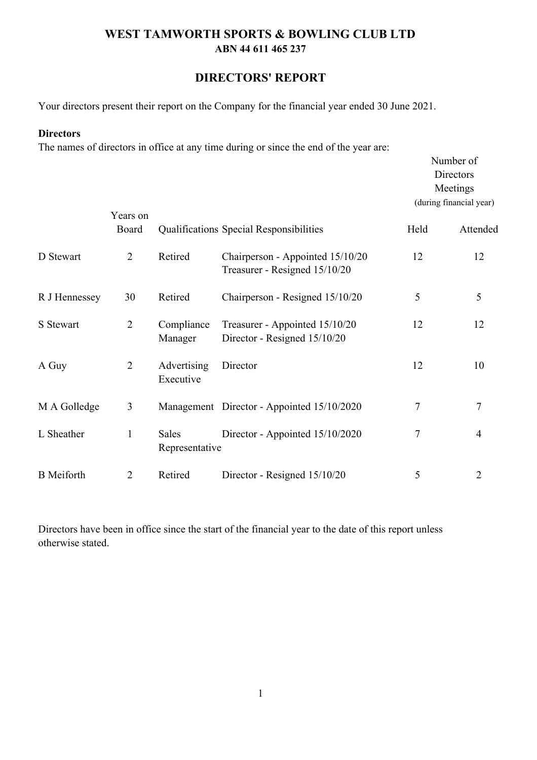## **DIRECTORS' REPORT**

Your directors present their report on the Company for the financial year ended 30 June 2021.

#### **Directors**

The names of directors in office at any time during or since the end of the year are:

|                   |                   |                          |                                                                   |      | Number of<br>Directors<br>Meetings<br>(during financial year) |
|-------------------|-------------------|--------------------------|-------------------------------------------------------------------|------|---------------------------------------------------------------|
|                   | Years on<br>Board |                          | Qualifications Special Responsibilities                           | Held | Attended                                                      |
| D Stewart         | $\overline{2}$    | Retired                  | Chairperson - Appointed 15/10/20<br>Treasurer - Resigned 15/10/20 | 12   | 12                                                            |
| R J Hennessey     | 30                | Retired                  | Chairperson - Resigned 15/10/20                                   | 5    | 5                                                             |
| S Stewart         | $\overline{2}$    | Compliance<br>Manager    | Treasurer - Appointed 15/10/20<br>Director - Resigned 15/10/20    | 12   | 12                                                            |
| A Guy             | $\overline{2}$    | Advertising<br>Executive | Director                                                          | 12   | 10                                                            |
| M A Golledge      | $\mathfrak{Z}$    |                          | Management Director - Appointed 15/10/2020                        | 7    | 7                                                             |
| L Sheather        | $\mathbf{1}$      | Sales<br>Representative  | Director - Appointed 15/10/2020                                   | 7    | 4                                                             |
| <b>B</b> Meiforth | $\overline{2}$    | Retired                  | Director - Resigned 15/10/20                                      | 5    | 2                                                             |

Directors have been in office since the start of the financial year to the date of this report unless otherwise stated.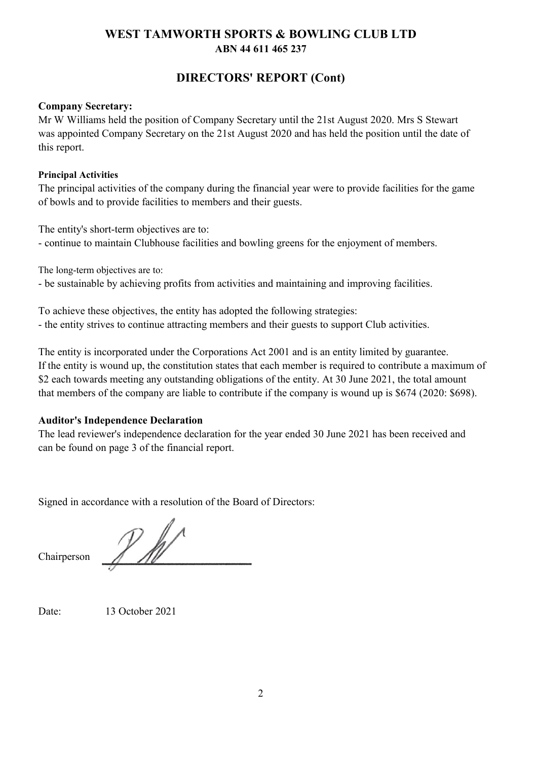# **ABN 44 611 465 237 WEST TAMWORTH SPORTS & BOWLING CLUB LTD**

# **DIRECTORS' REPORT (Cont)**

### **Company Secretary:**

Mr W Williams held the position of Company Secretary until the 21st August 2020. Mrs S Stewart was appointed Company Secretary on the 21st August 2020 and has held the position until the date of this report.

### **Principal Activities**

The principal activities of the company during the financial year were to provide facilities for the game of bowls and to provide facilities to members and their guests.

The entity's short-term objectives are to: - continue to maintain Clubhouse facilities and bowling greens for the enjoyment of members.

The long-term objectives are to:

- be sustainable by achieving profits from activities and maintaining and improving facilities.

To achieve these objectives, the entity has adopted the following strategies: - the entity strives to continue attracting members and their guests to support Club activities.

The entity is incorporated under the Corporations Act 2001 and is an entity limited by guarantee. If the entity is wound up, the constitution states that each member is required to contribute a maximum of \$2 each towards meeting any outstanding obligations of the entity. At 30 June 2021, the total amount that members of the company are liable to contribute if the company is wound up is \$674 (2020: \$698).

## **Auditor's Independence Declaration**

The lead reviewer's independence declaration for the year ended 30 June 2021 has been received and can be found on page 3 of the financial report.

Signed in accordance with a resolution of the Board of Directors:

 $\n *l*\n *l*\n *l*\n *l*\n *l*\n *l*\n *l*\n *l*\n *l*\n *l*\n *l*\n *l*\n *l*\n *l*\n *l*\n *l*\n *l*\n *l*\n *l*\n *l*\n *l*\n *l*\n *l*\n *l*\n$ 

Chairperson

Date:

13 October 2021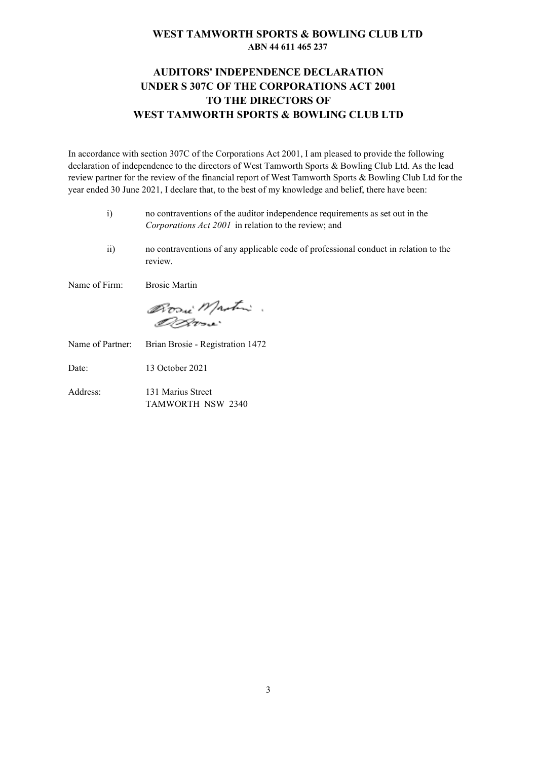### **ABN 44 611 465 237 WEST TAMWORTH SPORTS & BOWLING CLUB LTD**

## **AUDITORS' INDEPENDENCE DECLARATION UNDER S 307C OF THE CORPORATIONS ACT 2001 TO THE DIRECTORS OF WEST TAMWORTH SPORTS & BOWLING CLUB LTD**

In accordance with section 307C of the Corporations Act 2001, I am pleased to provide the following declaration of independence to the directors of West Tamworth Sports & Bowling Club Ltd. As the lead review partner for the review of the financial report of West Tamworth Sports & Bowling Club Ltd for the year ended 30 June 2021, I declare that, to the best of my knowledge and belief, there have been:

- i) no contraventions of the auditor independence requirements as set out in the *Corporations Act 2001* in relation to the review; and
- ii) no contraventions of any applicable code of professional conduct in relation to the review.

Name of Firm: Brosie Martin

Bosi Mastri.

Name of Partner: Brian Brosie - Registration 1472

Date: 13 October 2021

Address: 131 Marius Street TAMWORTH NSW 2340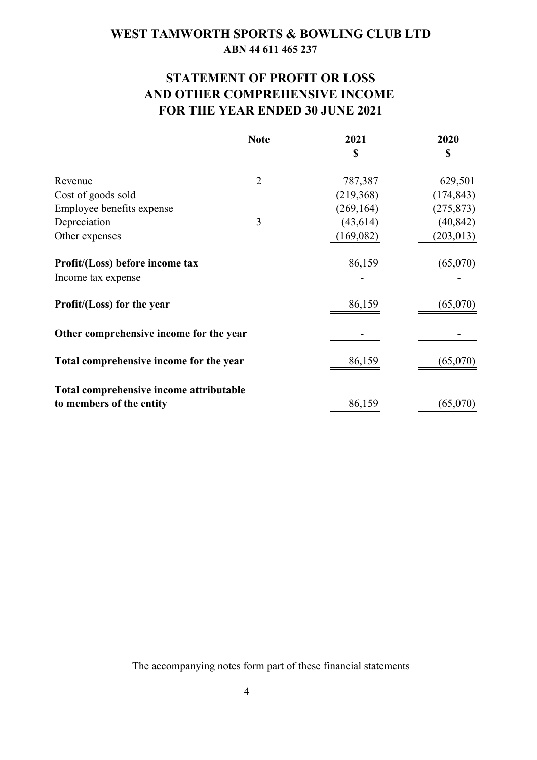# **STATEMENT OF PROFIT OR LOSS AND OTHER COMPREHENSIVE INCOME FOR THE YEAR ENDED 30 JUNE 2021**

|                                                                     | <b>Note</b>    | 2021       | 2020       |
|---------------------------------------------------------------------|----------------|------------|------------|
|                                                                     |                | \$         | \$         |
| Revenue                                                             | $\overline{2}$ | 787,387    | 629,501    |
| Cost of goods sold                                                  |                | (219, 368) | (174, 843) |
| Employee benefits expense                                           |                | (269, 164) | (275, 873) |
| Depreciation                                                        | 3              | (43, 614)  | (40, 842)  |
| Other expenses                                                      |                | (169,082)  | (203, 013) |
| Profit/(Loss) before income tax                                     |                | 86,159     | (65,070)   |
| Income tax expense                                                  |                |            |            |
| Profit/(Loss) for the year                                          |                | 86,159     | (65,070)   |
| Other comprehensive income for the year                             |                |            |            |
| Total comprehensive income for the year                             |                | 86,159     | (65,070)   |
| Total comprehensive income attributable<br>to members of the entity |                | 86,159     | (65,070)   |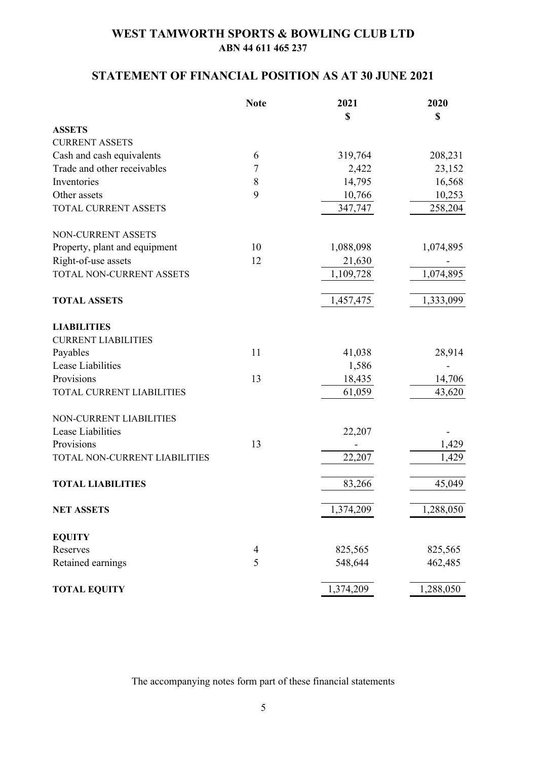# **STATEMENT OF FINANCIAL POSITION AS AT 30 JUNE 2021**

|                                  | <b>Note</b>    | 2021      | 2020      |
|----------------------------------|----------------|-----------|-----------|
|                                  |                | \$        | \$        |
| <b>ASSETS</b>                    |                |           |           |
| <b>CURRENT ASSETS</b>            |                |           |           |
| Cash and cash equivalents        | 6              | 319,764   | 208,231   |
| Trade and other receivables      | 7              | 2,422     | 23,152    |
| Inventories                      | 8              | 14,795    | 16,568    |
| Other assets                     | 9              | 10,766    | 10,253    |
| TOTAL CURRENT ASSETS             |                | 347,747   | 258,204   |
| NON-CURRENT ASSETS               |                |           |           |
| Property, plant and equipment    | 10             | 1,088,098 | 1,074,895 |
| Right-of-use assets              | 12             | 21,630    |           |
| TOTAL NON-CURRENT ASSETS         |                | 1,109,728 | 1,074,895 |
| <b>TOTAL ASSETS</b>              |                | 1,457,475 | 1,333,099 |
| <b>LIABILITIES</b>               |                |           |           |
| <b>CURRENT LIABILITIES</b>       |                |           |           |
| Payables                         | 11             | 41,038    | 28,914    |
| Lease Liabilities                |                | 1,586     |           |
| Provisions                       | 13             | 18,435    | 14,706    |
| <b>TOTAL CURRENT LIABILITIES</b> |                | 61,059    | 43,620    |
| NON-CURRENT LIABILITIES          |                |           |           |
| Lease Liabilities                |                | 22,207    |           |
| Provisions                       | 13             |           | 1,429     |
| TOTAL NON-CURRENT LIABILITIES    |                | 22,207    | 1,429     |
| <b>TOTAL LIABILITIES</b>         |                | 83,266    | 45,049    |
| <b>NET ASSETS</b>                |                | 1,374,209 | 1,288,050 |
| <b>EQUITY</b>                    |                |           |           |
| Reserves                         | $\overline{4}$ | 825,565   | 825,565   |
| Retained earnings                | 5              | 548,644   | 462,485   |
| <b>TOTAL EQUITY</b>              |                | 1,374,209 | 1,288,050 |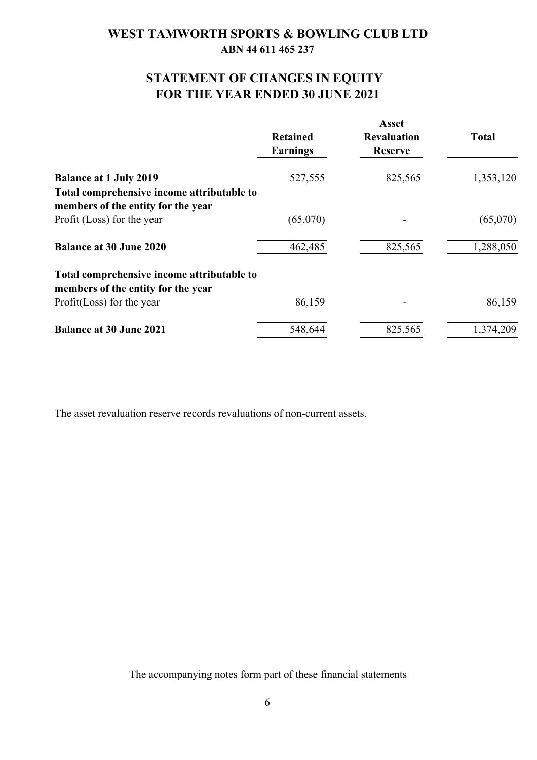# **FOR THE YEAR ENDED 30 JUNE 2021 STATEMENT OF CHANGES IN EQUITY**

|                                                                                  | <b>Retained</b><br><b>Earnings</b> | <b>Asset</b><br><b>Revaluation</b><br><b>Reserve</b> | <b>Total</b> |
|----------------------------------------------------------------------------------|------------------------------------|------------------------------------------------------|--------------|
| <b>Balance at 1 July 2019</b>                                                    | 527,555                            | 825,565                                              | 1,353,120    |
| Total comprehensive income attributable to                                       |                                    |                                                      |              |
| members of the entity for the year                                               |                                    |                                                      |              |
| Profit (Loss) for the year                                                       | (65,070)                           |                                                      | (65,070)     |
| <b>Balance at 30 June 2020</b>                                                   | 462,485                            | 825,565                                              | 1,288,050    |
| Total comprehensive income attributable to<br>members of the entity for the year |                                    |                                                      |              |
| Profit(Loss) for the year                                                        | 86,159                             |                                                      | 86,159       |
| <b>Balance at 30 June 2021</b>                                                   | 548,644                            | 825,565                                              | 1,374,209    |

The asset revaluation reserve records revaluations of non-current assets.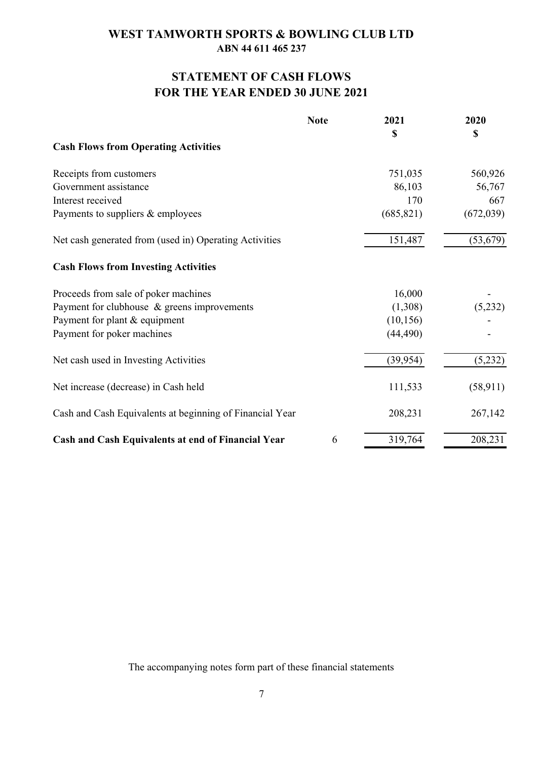# **FOR THE YEAR ENDED 30 JUNE 2021 STATEMENT OF CASH FLOWS**

|                                                          | <b>Note</b> | 2021       | 2020        |
|----------------------------------------------------------|-------------|------------|-------------|
|                                                          |             | \$         | $\mathbf S$ |
| <b>Cash Flows from Operating Activities</b>              |             |            |             |
| Receipts from customers                                  |             | 751,035    | 560,926     |
| Government assistance                                    |             | 86,103     | 56,767      |
| Interest received                                        |             | 170        | 667         |
| Payments to suppliers & employees                        |             | (685, 821) | (672, 039)  |
| Net cash generated from (used in) Operating Activities   |             | 151,487    | (53, 679)   |
| <b>Cash Flows from Investing Activities</b>              |             |            |             |
| Proceeds from sale of poker machines                     |             | 16,000     |             |
| Payment for clubhouse & greens improvements              | (1,308)     | (5,232)    |             |
| Payment for plant & equipment                            | (10, 156)   |            |             |
| Payment for poker machines                               |             | (44, 490)  |             |
| Net cash used in Investing Activities                    |             | (39, 954)  | (5,232)     |
| Net increase (decrease) in Cash held                     |             | 111,533    | (58, 911)   |
| Cash and Cash Equivalents at beginning of Financial Year |             | 208,231    | 267,142     |
| Cash and Cash Equivalents at end of Financial Year       | 6           | 319,764    | 208,231     |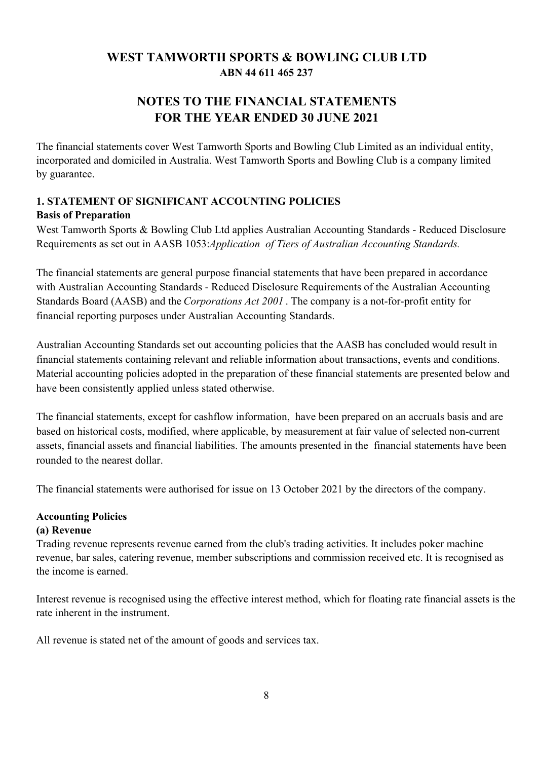# **NOTES TO THE FINANCIAL STATEMENTS FOR THE YEAR ENDED 30 JUNE 2021**

The financial statements cover West Tamworth Sports and Bowling Club Limited as an individual entity, incorporated and domiciled in Australia. West Tamworth Sports and Bowling Club is a company limited by guarantee.

## **1. STATEMENT OF SIGNIFICANT ACCOUNTING POLICIES Basis of Preparation**

West Tamworth Sports & Bowling Club Ltd applies Australian Accounting Standards - Reduced Disclosure Requirements as set out in AASB 1053:*Application of Tiers of Australian Accounting Standards.*

The financial statements are general purpose financial statements that have been prepared in accordance with Australian Accounting Standards - Reduced Disclosure Requirements of the Australian Accounting Standards Board (AASB) and the *Corporations Act 2001* . The company is a not-for-profit entity for financial reporting purposes under Australian Accounting Standards.

Australian Accounting Standards set out accounting policies that the AASB has concluded would result in financial statements containing relevant and reliable information about transactions, events and conditions. Material accounting policies adopted in the preparation of these financial statements are presented below and have been consistently applied unless stated otherwise.

The financial statements, except for cashflow information, have been prepared on an accruals basis and are based on historical costs, modified, where applicable, by measurement at fair value of selected non-current assets, financial assets and financial liabilities. The amounts presented in the financial statements have been rounded to the nearest dollar.

The financial statements were authorised for issue on 13 October 2021 by the directors of the company.

## **Accounting Policies**

## **(a) Revenue**

Trading revenue represents revenue earned from the club's trading activities. It includes poker machine revenue, bar sales, catering revenue, member subscriptions and commission received etc. It is recognised as the income is earned.

Interest revenue is recognised using the effective interest method, which for floating rate financial assets is the rate inherent in the instrument.

All revenue is stated net of the amount of goods and services tax.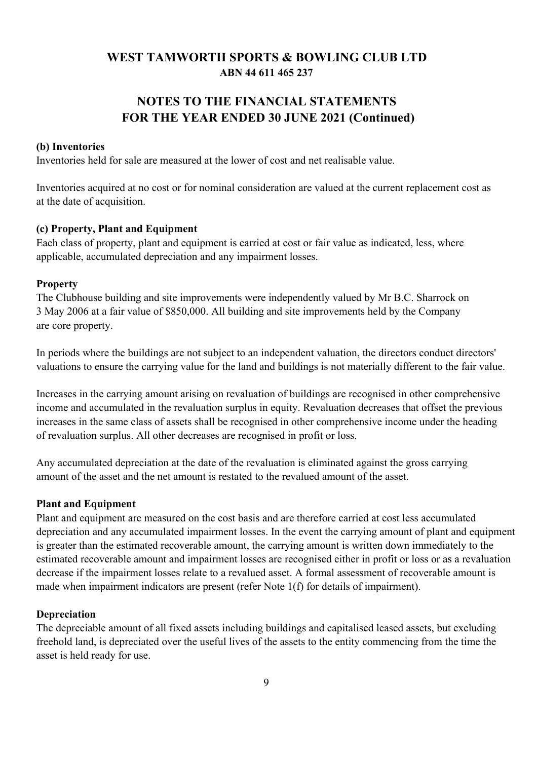# **NOTES TO THE FINANCIAL STATEMENTS FOR THE YEAR ENDED 30 JUNE 2021 (Continued)**

#### **(b) Inventories**

Inventories held for sale are measured at the lower of cost and net realisable value.

Inventories acquired at no cost or for nominal consideration are valued at the current replacement cost as at the date of acquisition.

#### **(c) Property, Plant and Equipment**

Each class of property, plant and equipment is carried at cost or fair value as indicated, less, where applicable, accumulated depreciation and any impairment losses.

#### **Property**

The Clubhouse building and site improvements were independently valued by Mr B.C. Sharrock on 3 May 2006 at a fair value of \$850,000. All building and site improvements held by the Company are core property.

In periods where the buildings are not subject to an independent valuation, the directors conduct directors' valuations to ensure the carrying value for the land and buildings is not materially different to the fair value.

Increases in the carrying amount arising on revaluation of buildings are recognised in other comprehensive income and accumulated in the revaluation surplus in equity. Revaluation decreases that offset the previous increases in the same class of assets shall be recognised in other comprehensive income under the heading of revaluation surplus. All other decreases are recognised in profit or loss.

Any accumulated depreciation at the date of the revaluation is eliminated against the gross carrying amount of the asset and the net amount is restated to the revalued amount of the asset.

#### **Plant and Equipment**

Plant and equipment are measured on the cost basis and are therefore carried at cost less accumulated depreciation and any accumulated impairment losses. In the event the carrying amount of plant and equipment is greater than the estimated recoverable amount, the carrying amount is written down immediately to the estimated recoverable amount and impairment losses are recognised either in profit or loss or as a revaluation decrease if the impairment losses relate to a revalued asset. A formal assessment of recoverable amount is made when impairment indicators are present (refer Note 1(f) for details of impairment).

#### **Depreciation**

The depreciable amount of all fixed assets including buildings and capitalised leased assets, but excluding freehold land, is depreciated over the useful lives of the assets to the entity commencing from the time the asset is held ready for use.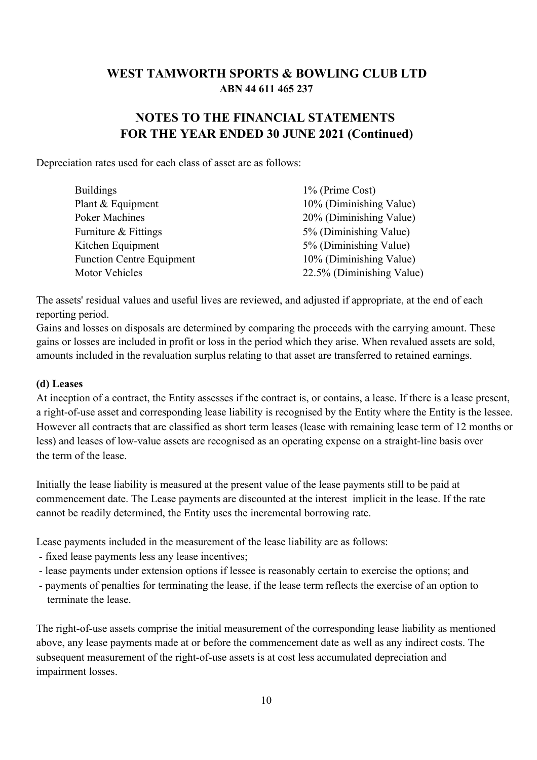# **NOTES TO THE FINANCIAL STATEMENTS FOR THE YEAR ENDED 30 JUNE 2021 (Continued)**

Depreciation rates used for each class of asset are as follows:

| <b>Buildings</b>                 | 1% (Prime Cost)           |
|----------------------------------|---------------------------|
| Plant & Equipment                | 10% (Diminishing Value)   |
| <b>Poker Machines</b>            | 20% (Diminishing Value)   |
| Furniture & Fittings             | 5% (Diminishing Value)    |
| Kitchen Equipment                | 5% (Diminishing Value)    |
| <b>Function Centre Equipment</b> | 10% (Diminishing Value)   |
| Motor Vehicles                   | 22.5% (Diminishing Value) |

The assets' residual values and useful lives are reviewed, and adjusted if appropriate, at the end of each reporting period.

Gains and losses on disposals are determined by comparing the proceeds with the carrying amount. These gains or losses are included in profit or loss in the period which they arise. When revalued assets are sold, amounts included in the revaluation surplus relating to that asset are transferred to retained earnings.

### **(d) Leases**

At inception of a contract, the Entity assesses if the contract is, or contains, a lease. If there is a lease present, a right-of-use asset and corresponding lease liability is recognised by the Entity where the Entity is the lessee. However all contracts that are classified as short term leases (lease with remaining lease term of 12 months or less) and leases of low-value assets are recognised as an operating expense on a straight-line basis over the term of the lease.

Initially the lease liability is measured at the present value of the lease payments still to be paid at commencement date. The Lease payments are discounted at the interest implicit in the lease. If the rate cannot be readily determined, the Entity uses the incremental borrowing rate.

Lease payments included in the measurement of the lease liability are as follows:

- fixed lease payments less any lease incentives;
- lease payments under extension options if lessee is reasonably certain to exercise the options; and
- payments of penalties for terminating the lease, if the lease term reflects the exercise of an option to terminate the lease.

The right-of-use assets comprise the initial measurement of the corresponding lease liability as mentioned above, any lease payments made at or before the commencement date as well as any indirect costs. The subsequent measurement of the right-of-use assets is at cost less accumulated depreciation and impairment losses.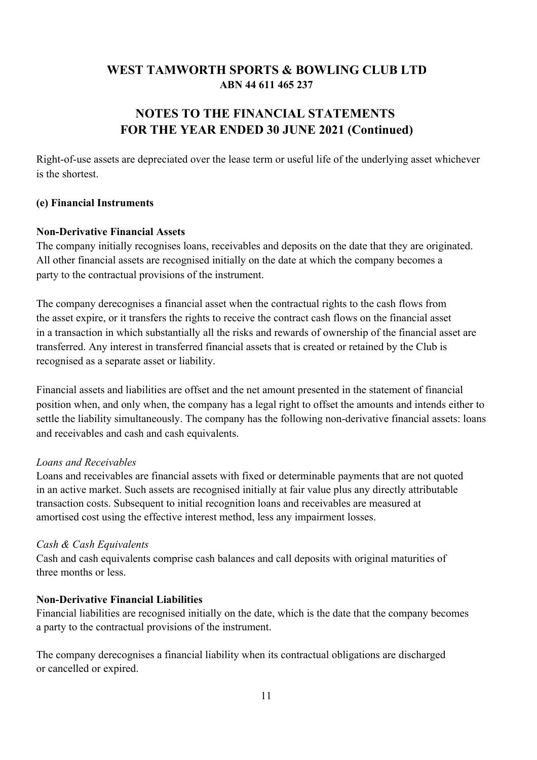# **NOTES TO THE FINANCIAL STATEMENTS FOR THE YEAR ENDED 30 JUNE 2021 (Continued)**

Right-of-use assets are depreciated over the lease term or useful life of the underlying asset whichever is the shortest.

### **(e) Financial Instruments**

### **Non-Derivative Financial Assets**

The company initially recognises loans, receivables and deposits on the date that they are originated. All other financial assets are recognised initially on the date at which the company becomes a party to the contractual provisions of the instrument.

The company derecognises a financial asset when the contractual rights to the cash flows from the asset expire, or it transfers the rights to receive the contract cash flows on the financial asset in a transaction in which substantially all the risks and rewards of ownership of the financial asset are transferred. Any interest in transferred financial assets that is created or retained by the Club is recognised as a separate asset or liability.

Financial assets and liabilities are offset and the net amount presented in the statement of financial position when, and only when, the company has a legal right to offset the amounts and intends either to settle the liability simultaneously. The company has the following non-derivative financial assets: loans and receivables and cash and cash equivalents.

## *Loans and Receivables*

Loans and receivables are financial assets with fixed or determinable payments that are not quoted in an active market. Such assets are recognised initially at fair value plus any directly attributable transaction costs. Subsequent to initial recognition loans and receivables are measured at amortised cost using the effective interest method, less any impairment losses.

## *Cash & Cash Equivalents*

Cash and cash equivalents comprise cash balances and call deposits with original maturities of three months or less.

### **Non-Derivative Financial Liabilities**

Financial liabilities are recognised initially on the date, which is the date that the company becomes a party to the contractual provisions of the instrument.

The company derecognises a financial liability when its contractual obligations are discharged or cancelled or expired.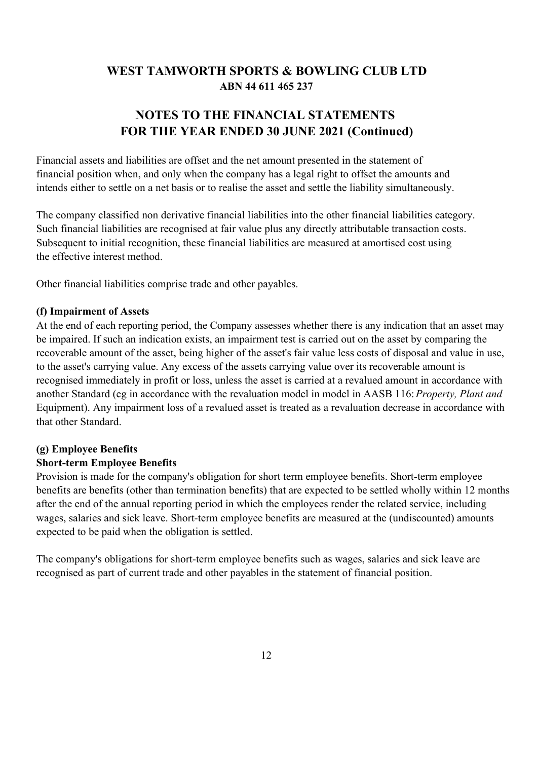# **NOTES TO THE FINANCIAL STATEMENTS FOR THE YEAR ENDED 30 JUNE 2021 (Continued)**

Financial assets and liabilities are offset and the net amount presented in the statement of financial position when, and only when the company has a legal right to offset the amounts and intends either to settle on a net basis or to realise the asset and settle the liability simultaneously.

The company classified non derivative financial liabilities into the other financial liabilities category. Such financial liabilities are recognised at fair value plus any directly attributable transaction costs. Subsequent to initial recognition, these financial liabilities are measured at amortised cost using the effective interest method.

Other financial liabilities comprise trade and other payables.

#### **(f) Impairment of Assets**

At the end of each reporting period, the Company assesses whether there is any indication that an asset may be impaired. If such an indication exists, an impairment test is carried out on the asset by comparing the recoverable amount of the asset, being higher of the asset's fair value less costs of disposal and value in use, to the asset's carrying value. Any excess of the assets carrying value over its recoverable amount is recognised immediately in profit or loss, unless the asset is carried at a revalued amount in accordance with another Standard (eg in accordance with the revaluation model in model in AASB 116: *Property, Plant and*  Equipment). Any impairment loss of a revalued asset is treated as a revaluation decrease in accordance with that other Standard.

### **(g) Employee Benefits**

#### **Short-term Employee Benefits**

Provision is made for the company's obligation for short term employee benefits. Short-term employee benefits are benefits (other than termination benefits) that are expected to be settled wholly within 12 months after the end of the annual reporting period in which the employees render the related service, including wages, salaries and sick leave. Short-term employee benefits are measured at the (undiscounted) amounts expected to be paid when the obligation is settled.

The company's obligations for short-term employee benefits such as wages, salaries and sick leave are recognised as part of current trade and other payables in the statement of financial position.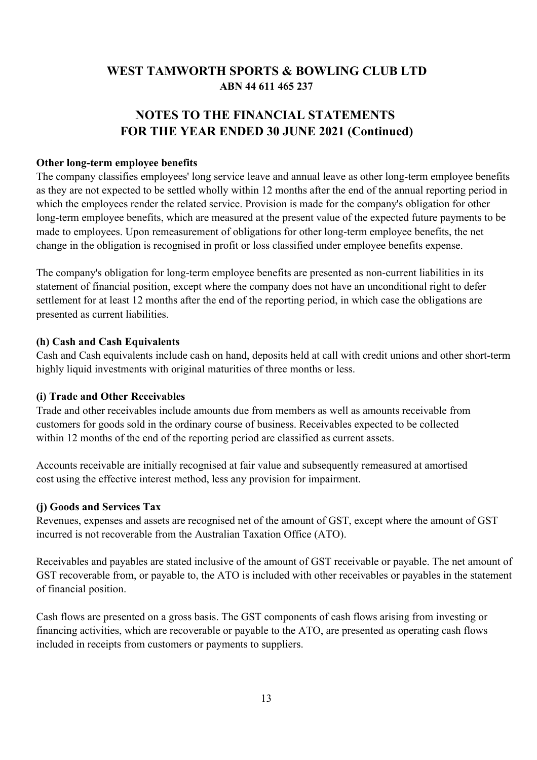# **NOTES TO THE FINANCIAL STATEMENTS FOR THE YEAR ENDED 30 JUNE 2021 (Continued)**

### **Other long-term employee benefits**

The company classifies employees' long service leave and annual leave as other long-term employee benefits as they are not expected to be settled wholly within 12 months after the end of the annual reporting period in which the employees render the related service. Provision is made for the company's obligation for other long-term employee benefits, which are measured at the present value of the expected future payments to be made to employees. Upon remeasurement of obligations for other long-term employee benefits, the net change in the obligation is recognised in profit or loss classified under employee benefits expense.

The company's obligation for long-term employee benefits are presented as non-current liabilities in its statement of financial position, except where the company does not have an unconditional right to defer settlement for at least 12 months after the end of the reporting period, in which case the obligations are presented as current liabilities.

### **(h) Cash and Cash Equivalents**

Cash and Cash equivalents include cash on hand, deposits held at call with credit unions and other short-term highly liquid investments with original maturities of three months or less.

## **(i) Trade and Other Receivables**

Trade and other receivables include amounts due from members as well as amounts receivable from customers for goods sold in the ordinary course of business. Receivables expected to be collected within 12 months of the end of the reporting period are classified as current assets.

Accounts receivable are initially recognised at fair value and subsequently remeasured at amortised cost using the effective interest method, less any provision for impairment.

### **(j) Goods and Services Tax**

Revenues, expenses and assets are recognised net of the amount of GST, except where the amount of GST incurred is not recoverable from the Australian Taxation Office (ATO).

Receivables and payables are stated inclusive of the amount of GST receivable or payable. The net amount of GST recoverable from, or payable to, the ATO is included with other receivables or payables in the statement of financial position.

Cash flows are presented on a gross basis. The GST components of cash flows arising from investing or financing activities, which are recoverable or payable to the ATO, are presented as operating cash flows included in receipts from customers or payments to suppliers.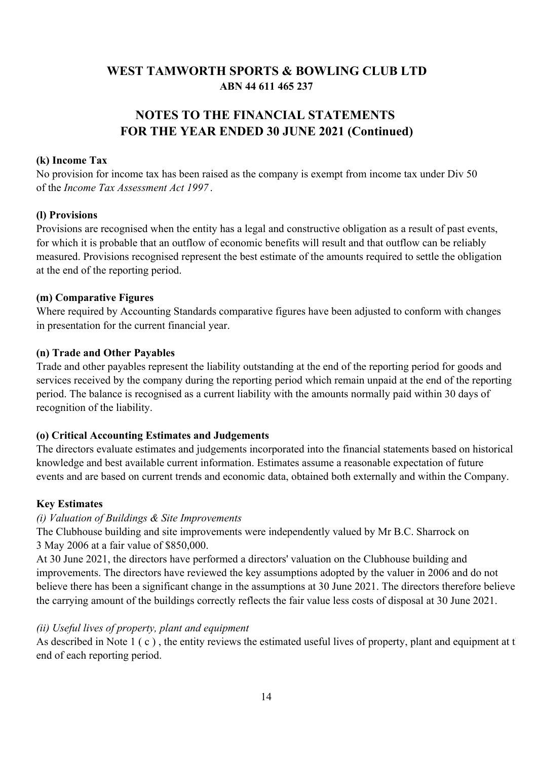# **ABN 44 611 465 237 WEST TAMWORTH SPORTS & BOWLING CLUB LTD**

# **FOR THE YEAR ENDED 30 JUNE 2021 (Continued) NOTES TO THE FINANCIAL STATEMENTS**

### **(k) Income Tax**

No provision for income tax has been raised as the company is exempt from income tax under Div 50 of the *Income Tax Assessment Act 1997* .

### **(l) Provisions**

Provisions are recognised when the entity has a legal and constructive obligation as a result of past events, for which it is probable that an outflow of economic benefits will result and that outflow can be reliably measured. Provisions recognised represent the best estimate of the amounts required to settle the obligation at the end of the reporting period.

### **(m) Comparative Figures**

Where required by Accounting Standards comparative figures have been adjusted to conform with changes in presentation for the current financial year.

### **(n) Trade and Other Payables**

Trade and other payables represent the liability outstanding at the end of the reporting period for goods and services received by the company during the reporting period which remain unpaid at the end of the reporting period. The balance is recognised as a current liability with the amounts normally paid within 30 days of recognition of the liability.

## **(o) Critical Accounting Estimates and Judgements**

The directors evaluate estimates and judgements incorporated into the financial statements based on historical knowledge and best available current information. Estimates assume a reasonable expectation of future events and are based on current trends and economic data, obtained both externally and within the Company.

### **Key Estimates**

### *(i) Valuation of Buildings & Site Improvements*

The Clubhouse building and site improvements were independently valued by Mr B.C. Sharrock on 3 May 2006 at a fair value of \$850,000.

At 30 June 2021, the directors have performed a directors' valuation on the Clubhouse building and improvements. The directors have reviewed the key assumptions adopted by the valuer in 2006 and do not believe there has been a significant change in the assumptions at 30 June 2021. The directors therefore believe the carrying amount of the buildings correctly reflects the fair value less costs of disposal at 30 June 2021.

### *(ii) Useful lives of property, plant and equipment*

As described in Note  $1(c)$ , the entity reviews the estimated useful lives of property, plant and equipment at t end of each reporting period.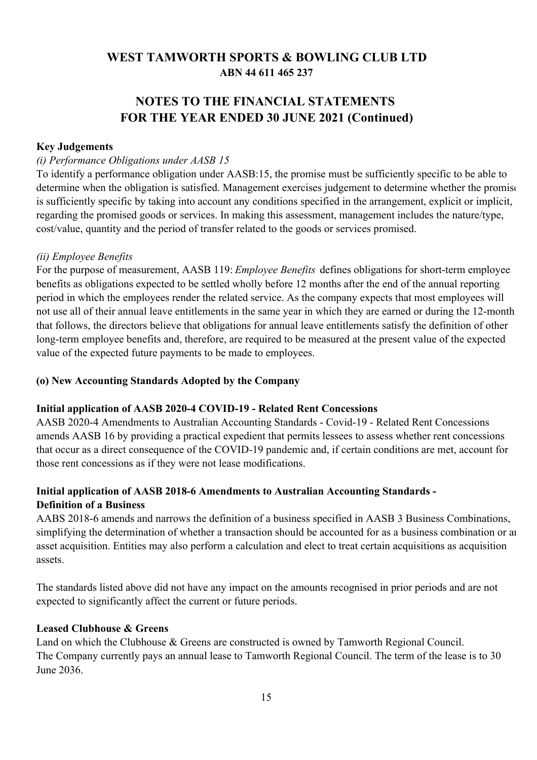# **NOTES TO THE FINANCIAL STATEMENTS FOR THE YEAR ENDED 30 JUNE 2021 (Continued)**

#### **Key Judgements**

#### *(i) Performance Obligations under AASB 15*

To identify a performance obligation under AASB:15, the promise must be sufficiently specific to be able to determine when the obligation is satisfied. Management exercises judgement to determine whether the promise is sufficiently specific by taking into account any conditions specified in the arrangement, explicit or implicit, regarding the promised goods or services. In making this assessment, management includes the nature/type, cost/value, quantity and the period of transfer related to the goods or services promised.

#### *(ii) Employee Benefits*

For the purpose of measurement, AASB 119: *Employee Benefits* defines obligations for short-term employee benefits as obligations expected to be settled wholly before 12 months after the end of the annual reporting period in which the employees render the related service. As the company expects that most employees will not use all of their annual leave entitlements in the same year in which they are earned or during the 12-month that follows, the directors believe that obligations for annual leave entitlements satisfy the definition of other long-term employee benefits and, therefore, are required to be measured at the present value of the expected value of the expected future payments to be made to employees.

### **(o) New Accounting Standards Adopted by the Company**

#### **Initial application of AASB 2020-4 COVID-19 - Related Rent Concessions**

AASB 2020-4 Amendments to Australian Accounting Standards - Covid-19 - Related Rent Concessions amends AASB 16 by providing a practical expedient that permits lessees to assess whether rent concessions that occur as a direct consequence of the COVID-19 pandemic and, if certain conditions are met, account for those rent concessions as if they were not lease modifications.

## **Initial application of AASB 2018-6 Amendments to Australian Accounting Standards - Definition of a Business**

AABS 2018-6 amends and narrows the definition of a business specified in AASB 3 Business Combinations, simplifying the determination of whether a transaction should be accounted for as a business combination or an asset acquisition. Entities may also perform a calculation and elect to treat certain acquisitions as acquisition assets.

The standards listed above did not have any impact on the amounts recognised in prior periods and are not expected to significantly affect the current or future periods.

### **Leased Clubhouse & Greens**

Land on which the Clubhouse & Greens are constructed is owned by Tamworth Regional Council. The Company currently pays an annual lease to Tamworth Regional Council. The term of the lease is to 30 June 2036.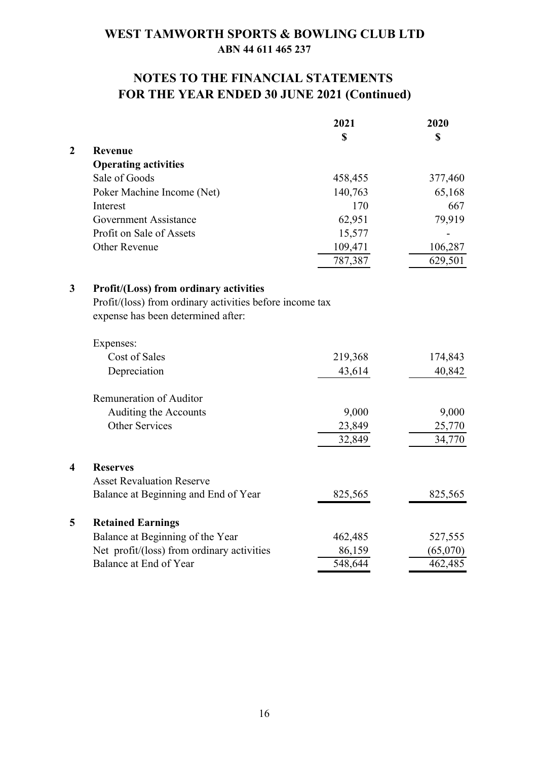# **FOR THE YEAR ENDED 30 JUNE 2021 (Continued) NOTES TO THE FINANCIAL STATEMENTS**

|                         |                                                          | 2021        | 2020     |
|-------------------------|----------------------------------------------------------|-------------|----------|
|                         |                                                          | $\mathbf S$ | \$       |
| $\boldsymbol{2}$        | Revenue                                                  |             |          |
|                         | <b>Operating activities</b>                              |             |          |
|                         | Sale of Goods                                            | 458,455     | 377,460  |
|                         | Poker Machine Income (Net)                               | 140,763     | 65,168   |
|                         | Interest                                                 | 170         | 667      |
|                         | <b>Government Assistance</b>                             | 62,951      | 79,919   |
|                         | Profit on Sale of Assets                                 | 15,577      |          |
|                         | <b>Other Revenue</b>                                     | 109,471     | 106,287  |
|                         |                                                          | 787,387     | 629,501  |
| $\mathbf{3}$            | <b>Profit/(Loss) from ordinary activities</b>            |             |          |
|                         | Profit/(loss) from ordinary activities before income tax |             |          |
|                         | expense has been determined after:                       |             |          |
|                         | Expenses:                                                |             |          |
|                         | Cost of Sales                                            | 219,368     | 174,843  |
|                         | Depreciation                                             | 43,614      | 40,842   |
|                         | Remuneration of Auditor                                  |             |          |
|                         | Auditing the Accounts                                    | 9,000       | 9,000    |
|                         | <b>Other Services</b>                                    | 23,849      | 25,770   |
|                         |                                                          | 32,849      | 34,770   |
| $\overline{\mathbf{4}}$ | <b>Reserves</b>                                          |             |          |
|                         | <b>Asset Revaluation Reserve</b>                         |             |          |
|                         | Balance at Beginning and End of Year                     | 825,565     | 825,565  |
| 5                       | <b>Retained Earnings</b>                                 |             |          |
|                         | Balance at Beginning of the Year                         | 462,485     | 527,555  |
|                         | Net profit/(loss) from ordinary activities               | 86,159      | (65,070) |
|                         | Balance at End of Year                                   | 548,644     | 462,485  |
|                         |                                                          |             |          |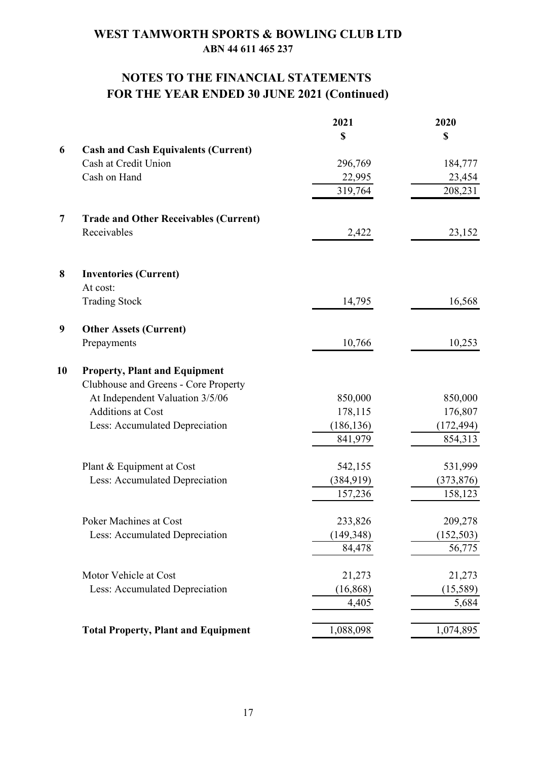# **NOTES TO THE FINANCIAL STATEMENTS FOR THE YEAR ENDED 30 JUNE 2021 (Continued)**

|                                              | 2021       | 2020       |
|----------------------------------------------|------------|------------|
|                                              | \$         | \$         |
| <b>Cash and Cash Equivalents (Current)</b>   |            |            |
| Cash at Credit Union                         | 296,769    | 184,777    |
| Cash on Hand                                 | 22,995     | 23,454     |
|                                              | 319,764    | 208,231    |
| <b>Trade and Other Receivables (Current)</b> |            |            |
| Receivables                                  | 2,422      | 23,152     |
| <b>Inventories (Current)</b>                 |            |            |
| At cost:                                     |            |            |
| <b>Trading Stock</b>                         | 14,795     | 16,568     |
| <b>Other Assets (Current)</b>                |            |            |
| Prepayments                                  | 10,766     | 10,253     |
| <b>Property, Plant and Equipment</b>         |            |            |
| Clubhouse and Greens - Core Property         |            |            |
| At Independent Valuation 3/5/06              | 850,000    | 850,000    |
| <b>Additions at Cost</b>                     | 178,115    | 176,807    |
| Less: Accumulated Depreciation               | (186, 136) | (172, 494) |
|                                              | 841,979    | 854,313    |
| Plant & Equipment at Cost                    | 542,155    | 531,999    |
| Less: Accumulated Depreciation               | (384, 919) | (373, 876) |
|                                              | 157,236    | 158,123    |
| Poker Machines at Cost                       | 233,826    | 209,278    |
| Less: Accumulated Depreciation               | (149, 348) | (152, 503) |
|                                              | 84,478     | 56,775     |
| Motor Vehicle at Cost                        | 21,273     | 21,273     |
| Less: Accumulated Depreciation               | (16, 868)  | (15,589)   |
|                                              | 4,405      | 5,684      |
| <b>Total Property, Plant and Equipment</b>   | 1,088,098  | 1,074,895  |
|                                              |            |            |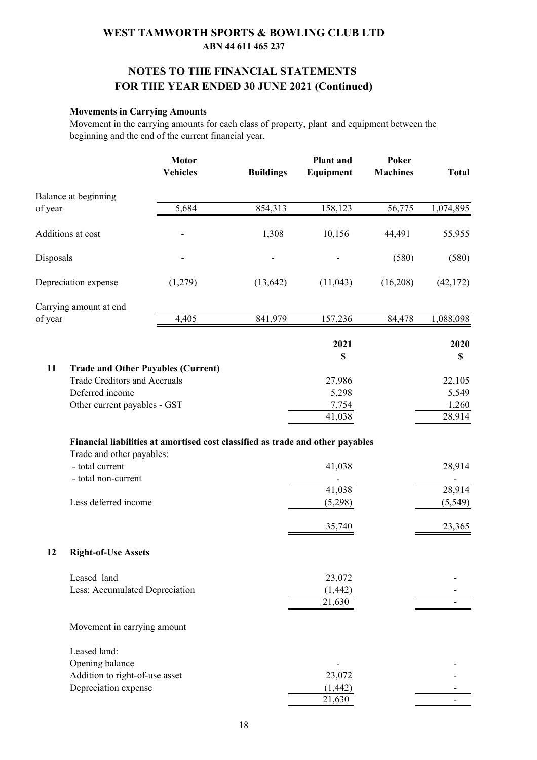## **NOTES TO THE FINANCIAL STATEMENTS FOR THE YEAR ENDED 30 JUNE 2021 (Continued)**

#### **Movements in Carrying Amounts**

Movement in the carrying amounts for each class of property, plant and equipment between the beginning and the end of the current financial year.

|           |                                           | <b>Motor</b><br><b>Vehicles</b>                                                | <b>Buildings</b> | <b>Plant</b> and<br>Equipment | Poker<br><b>Machines</b> | <b>Total</b> |
|-----------|-------------------------------------------|--------------------------------------------------------------------------------|------------------|-------------------------------|--------------------------|--------------|
|           | Balance at beginning                      |                                                                                |                  |                               |                          |              |
| of year   |                                           | 5,684                                                                          | 854,313          | 158,123                       | 56,775                   | 1,074,895    |
|           | Additions at cost                         |                                                                                | 1,308            | 10,156                        | 44,491                   | 55,955       |
| Disposals |                                           |                                                                                |                  |                               | (580)                    | (580)        |
|           | Depreciation expense                      | (1,279)                                                                        | (13, 642)        | (11,043)                      | (16,208)                 | (42, 172)    |
|           | Carrying amount at end                    |                                                                                |                  |                               |                          |              |
| of year   |                                           | 4,405                                                                          | 841,979          | 157,236                       | 84,478                   | 1,088,098    |
|           |                                           |                                                                                |                  | 2021<br>$\mathbb S$           |                          | 2020<br>\$   |
| 11        | <b>Trade and Other Payables (Current)</b> |                                                                                |                  |                               |                          |              |
|           | Trade Creditors and Accruals              |                                                                                |                  | 27,986                        |                          | 22,105       |
|           | Deferred income                           |                                                                                |                  | 5,298                         |                          | 5,549        |
|           | Other current payables - GST              |                                                                                |                  | 7,754                         |                          | 1,260        |
|           |                                           |                                                                                |                  | 41,038                        |                          | 28,914       |
|           |                                           | Financial liabilities at amortised cost classified as trade and other payables |                  |                               |                          |              |
|           | Trade and other payables:                 |                                                                                |                  |                               |                          |              |
|           | - total current                           |                                                                                |                  | 41,038                        |                          | 28,914       |
|           | - total non-current                       |                                                                                |                  |                               |                          |              |
|           |                                           |                                                                                |                  | 41,038                        |                          | 28,914       |
|           | Less deferred income                      |                                                                                |                  | (5,298)                       |                          | (5, 549)     |
|           |                                           |                                                                                |                  |                               |                          |              |
|           |                                           |                                                                                |                  | 35,740                        |                          | 23,365       |
| 12        | <b>Right-of-Use Assets</b>                |                                                                                |                  |                               |                          |              |
|           | Leased land                               |                                                                                |                  | 23,072                        |                          |              |
|           | Less: Accumulated Depreciation            |                                                                                |                  | (1, 442)                      |                          |              |
|           |                                           |                                                                                |                  | 21,630                        |                          |              |
|           | Movement in carrying amount               |                                                                                |                  |                               |                          |              |
|           | Leased land:                              |                                                                                |                  |                               |                          |              |
|           | Opening balance                           |                                                                                |                  |                               |                          |              |
|           | Addition to right-of-use asset            |                                                                                |                  | 23,072                        |                          |              |
|           | Depreciation expense                      |                                                                                |                  | (1, 442)                      |                          |              |
|           |                                           |                                                                                |                  | 21,630                        |                          |              |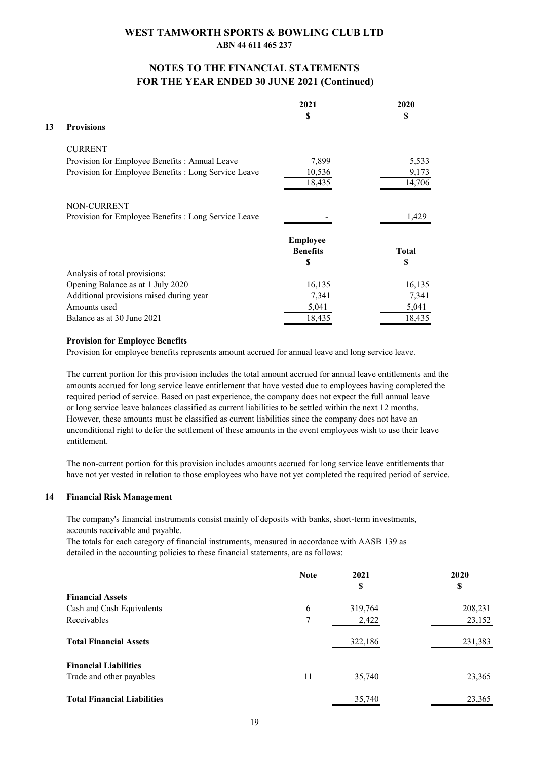### **NOTES TO THE FINANCIAL STATEMENTS FOR THE YEAR ENDED 30 JUNE 2021 (Continued)**

|    |                                                      | 2021            | 2020         |
|----|------------------------------------------------------|-----------------|--------------|
|    |                                                      | S               | S            |
| 13 | <b>Provisions</b>                                    |                 |              |
|    | <b>CURRENT</b>                                       |                 |              |
|    | Provision for Employee Benefits: Annual Leave        | 7,899           | 5,533        |
|    | Provision for Employee Benefits : Long Service Leave | 10,536          | 9,173        |
|    |                                                      | 18,435          | 14,706       |
|    | NON-CURRENT                                          |                 |              |
|    | Provision for Employee Benefits : Long Service Leave |                 | 1,429        |
|    |                                                      | <b>Employee</b> |              |
|    |                                                      | <b>Benefits</b> | <b>Total</b> |
|    |                                                      | S               | S            |
|    | Analysis of total provisions:                        |                 |              |
|    | Opening Balance as at 1 July 2020                    | 16,135          | 16,135       |
|    | Additional provisions raised during year             | 7,341           | 7,341        |
|    | Amounts used                                         | 5,041           | 5,041        |
|    | Balance as at 30 June 2021                           | 18,435          | 18,435       |

#### **Provision for Employee Benefits**

Provision for employee benefits represents amount accrued for annual leave and long service leave.

The current portion for this provision includes the total amount accrued for annual leave entitlements and the amounts accrued for long service leave entitlement that have vested due to employees having completed the required period of service. Based on past experience, the company does not expect the full annual leave or long service leave balances classified as current liabilities to be settled within the next 12 months. However, these amounts must be classified as current liabilities since the company does not have an unconditional right to defer the settlement of these amounts in the event employees wish to use their leave entitlement.

The non-current portion for this provision includes amounts accrued for long service leave entitlements that have not yet vested in relation to those employees who have not yet completed the required period of service.

#### **14 Financial Risk Management**

The company's financial instruments consist mainly of deposits with banks, short-term investments, accounts receivable and payable.

The totals for each category of financial instruments, measured in accordance with AASB 139 as detailed in the accounting policies to these financial statements, are as follows:

|                                    | <b>Note</b>    | 2021    | 2020    |
|------------------------------------|----------------|---------|---------|
|                                    |                | \$      | \$      |
| <b>Financial Assets</b>            |                |         |         |
| Cash and Cash Equivalents          | 6              | 319,764 | 208,231 |
| Receivables                        | $\overline{7}$ | 2,422   | 23,152  |
| <b>Total Financial Assets</b>      |                | 322,186 | 231,383 |
| <b>Financial Liabilities</b>       |                |         |         |
| Trade and other payables           | 11             | 35,740  | 23,365  |
| <b>Total Financial Liabilities</b> |                | 35,740  | 23,365  |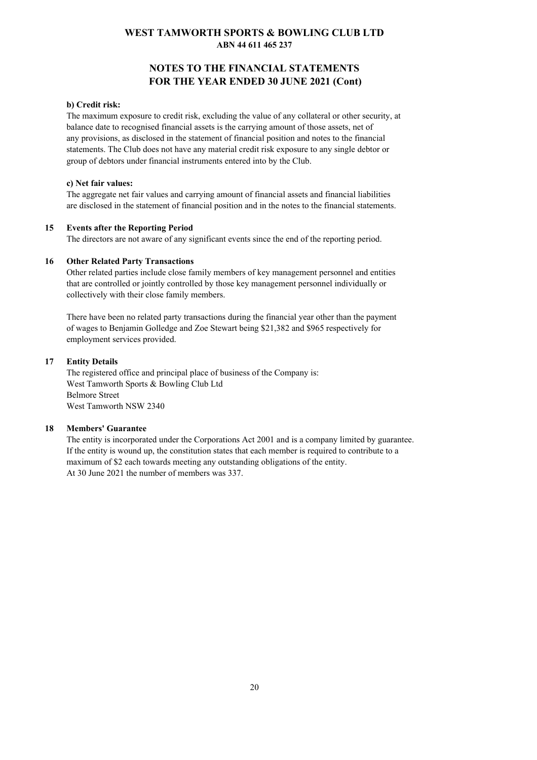### **NOTES TO THE FINANCIAL STATEMENTS FOR THE YEAR ENDED 30 JUNE 2021 (Cont)**

#### **b) Credit risk:**

The maximum exposure to credit risk, excluding the value of any collateral or other security, at balance date to recognised financial assets is the carrying amount of those assets, net of any provisions, as disclosed in the statement of financial position and notes to the financial statements. The Club does not have any material credit risk exposure to any single debtor or group of debtors under financial instruments entered into by the Club.

#### **c) Net fair values:**

The aggregate net fair values and carrying amount of financial assets and financial liabilities are disclosed in the statement of financial position and in the notes to the financial statements.

#### **15 Events after the Reporting Period**

The directors are not aware of any significant events since the end of the reporting period.

#### **16 Other Related Party Transactions**

Other related parties include close family members of key management personnel and entities that are controlled or jointly controlled by those key management personnel individually or collectively with their close family members.

There have been no related party transactions during the financial year other than the payment of wages to Benjamin Golledge and Zoe Stewart being \$21,382 and \$965 respectively for employment services provided.

#### **17 Entity Details**

The registered office and principal place of business of the Company is: West Tamworth Sports & Bowling Club Ltd Belmore Street West Tamworth NSW 2340

#### **18 Members' Guarantee**

The entity is incorporated under the Corporations Act 2001 and is a company limited by guarantee. If the entity is wound up, the constitution states that each member is required to contribute to a maximum of \$2 each towards meeting any outstanding obligations of the entity. At 30 June 2021 the number of members was 337.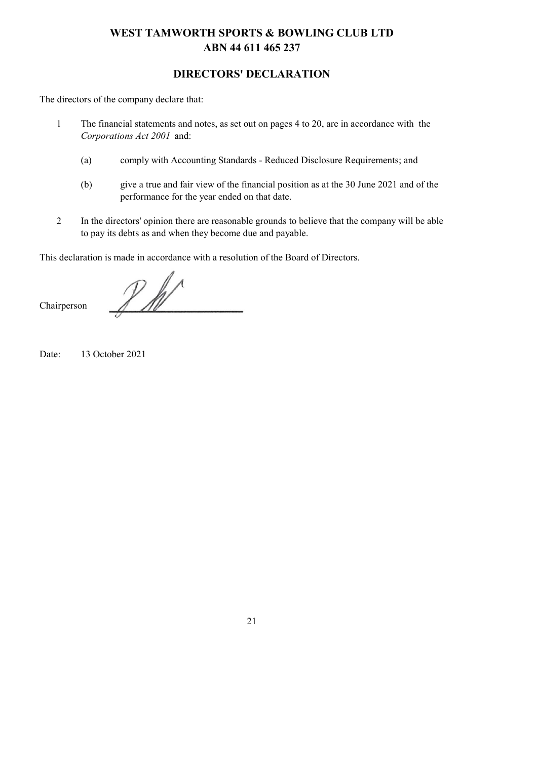## **DIRECTORS' DECLARATION**

The directors of the company declare that:

- 1 The financial statements and notes, as set out on pages 4 to 20, are in accordance with the *Corporations Act 2001* and:
	- (a) comply with Accounting Standards Reduced Disclosure Requirements; and
	- (b) give a true and fair view of the financial position as at the 30 June 2021 and of the performance for the year ended on that date.
- 2 In the directors' opinion there are reasonable grounds to believe that the company will be able to pay its debts as and when they become due and payable.

This declaration is made in accordance with a resolution of the Board of Directors.

 $\n *P*$  for

Chairperson

Date: 13 October 2021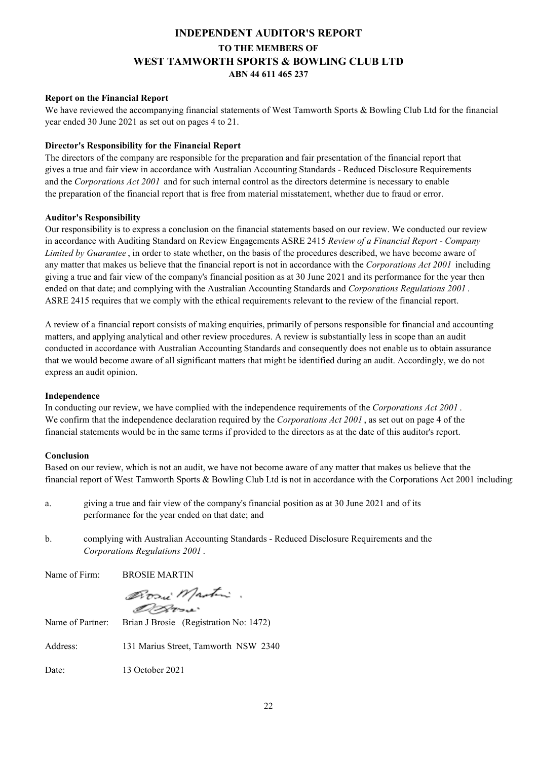## **INDEPENDENT AUDITOR'S REPORT TO THE MEMBERS OF WEST TAMWORTH SPORTS & BOWLING CLUB LTD ABN 44 611 465 237**

#### **Report on the Financial Report**

We have reviewed the accompanying financial statements of West Tamworth Sports & Bowling Club Ltd for the financial year ended 30 June 2021 as set out on pages 4 to 21.

#### **Director's Responsibility for the Financial Report**

The directors of the company are responsible for the preparation and fair presentation of the financial report that gives a true and fair view in accordance with Australian Accounting Standards - Reduced Disclosure Requirements and the *Corporations Act 2001* and for such internal control as the directors determine is necessary to enable the preparation of the financial report that is free from material misstatement, whether due to fraud or error.

#### **Auditor's Responsibility**

Our responsibility is to express a conclusion on the financial statements based on our review. We conducted our review in accordance with Auditing Standard on Review Engagements ASRE 2415 *Review of a Financial Report - Company Limited by Guarantee* , in order to state whether, on the basis of the procedures described, we have become aware of any matter that makes us believe that the financial report is not in accordance with the *Corporations Act 2001* including giving a true and fair view of the company's financial position as at 30 June 2021 and its performance for the year then ended on that date; and complying with the Australian Accounting Standards and *Corporations Regulations 2001* . ASRE 2415 requires that we comply with the ethical requirements relevant to the review of the financial report.

A review of a financial report consists of making enquiries, primarily of persons responsible for financial and accounting matters, and applying analytical and other review procedures. A review is substantially less in scope than an audit conducted in accordance with Australian Accounting Standards and consequently does not enable us to obtain assurance that we would become aware of all significant matters that might be identified during an audit. Accordingly, we do not express an audit opinion.

#### **Independence**

In conducting our review, we have complied with the independence requirements of the *Corporations Act 2001* . We confirm that the independence declaration required by the *Corporations Act 2001* , as set out on page 4 of the financial statements would be in the same terms if provided to the directors as at the date of this auditor's report.

#### **Conclusion**

Based on our review, which is not an audit, we have not become aware of any matter that makes us believe that the financial report of West Tamworth Sports & Bowling Club Ltd is not in accordance with the Corporations Act 2001 including:

- a. giving a true and fair view of the company's financial position as at 30 June 2021 and of its performance for the year ended on that date; and
- b. complying with Australian Accounting Standards Reduced Disclosure Requirements and the *Corporations Regulations 2001* .

Name of Firm: BROSIE MARTIN

Bosni Mastin. D. D. Clerman

Name of Partner: Brian J Brosie (Registration No: 1472)

Address: 131 Marius Street, Tamworth NSW 2340

Date: 13 October 2021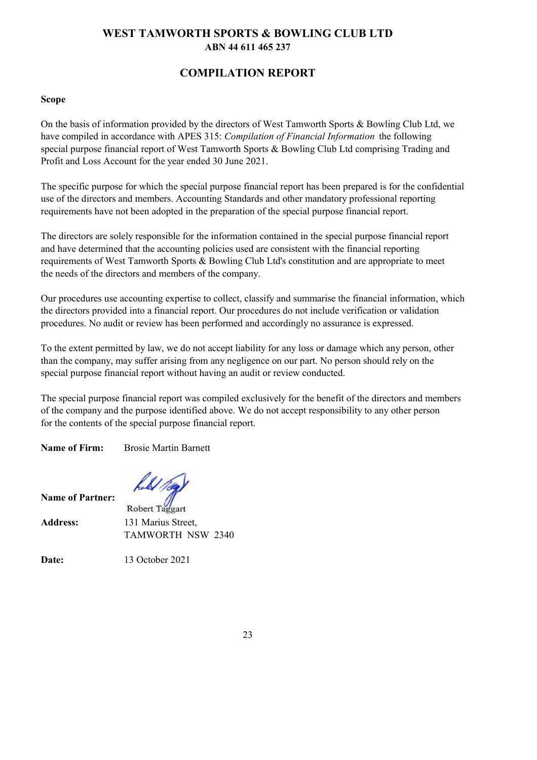## **COMPILATION REPORT**

#### **Scope**

On the basis of information provided by the directors of West Tamworth Sports & Bowling Club Ltd, we have compiled in accordance with APES 315: *Compilation of Financial Information* the following special purpose financial report of West Tamworth Sports & Bowling Club Ltd comprising Trading and Profit and Loss Account for the year ended 30 June 2021.

The specific purpose for which the special purpose financial report has been prepared is for the confidential use of the directors and members. Accounting Standards and other mandatory professional reporting requirements have not been adopted in the preparation of the special purpose financial report.

The directors are solely responsible for the information contained in the special purpose financial report and have determined that the accounting policies used are consistent with the financial reporting requirements of West Tamworth Sports & Bowling Club Ltd's constitution and are appropriate to meet the needs of the directors and members of the company.

Our procedures use accounting expertise to collect, classify and summarise the financial information, which the directors provided into a financial report. Our procedures do not include verification or validation procedures. No audit or review has been performed and accordingly no assurance is expressed.

To the extent permitted by law, we do not accept liability for any loss or damage which any person, other than the company, may suffer arising from any negligence on our part. No person should rely on the special purpose financial report without having an audit or review conducted.

The special purpose financial report was compiled exclusively for the benefit of the directors and members of the company and the purpose identified above. We do not accept responsibility to any other person for the contents of the special purpose financial report.

**Name of Firm:** Brosie Martin Barnett

me of Partner: held / 10g)

| Name of Partner: | Robert Taggart     |
|------------------|--------------------|
| <b>Address:</b>  | 131 Marius Street, |
|                  | TAMWORTH NSW 2340  |
|                  |                    |

**Date:** 13 October 2021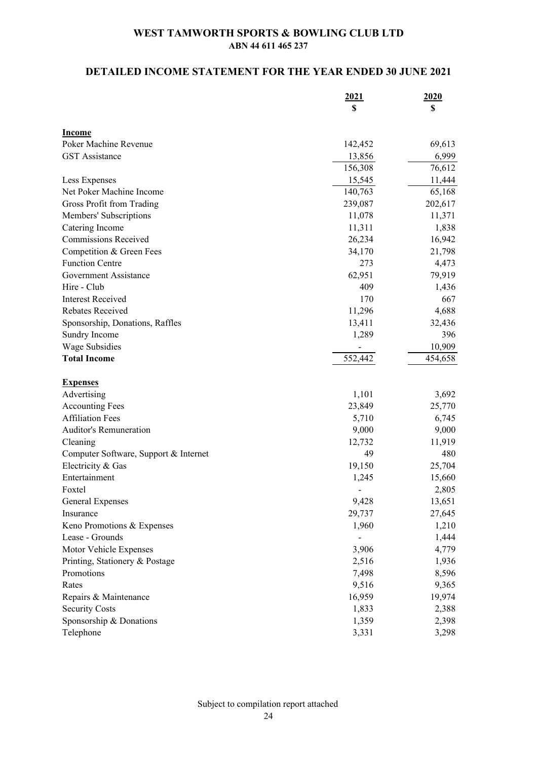## **DETAILED INCOME STATEMENT FOR THE YEAR ENDED 30 JUNE 2021**

|                                       | 2021<br>\$     | 2020<br>\$ |
|---------------------------------------|----------------|------------|
|                                       |                |            |
| <b>Income</b>                         |                |            |
| Poker Machine Revenue                 | 142,452        | 69,613     |
| <b>GST</b> Assistance                 | 13,856         | 6,999      |
|                                       | 156,308        | 76,612     |
| Less Expenses                         | 15,545         | 11,444     |
| Net Poker Machine Income              | 140,763        | 65,168     |
| Gross Profit from Trading             | 239,087        | 202,617    |
| Members' Subscriptions                | 11,078         | 11,371     |
| Catering Income                       | 11,311         | 1,838      |
| <b>Commissions Received</b>           | 26,234         | 16,942     |
| Competition & Green Fees              | 34,170         | 21,798     |
| <b>Function Centre</b>                | 273            | 4,473      |
| Government Assistance                 |                |            |
|                                       | 62,951         | 79,919     |
| Hire - Club                           | 409            | 1,436      |
| <b>Interest Received</b>              | 170            | 667        |
| Rebates Received                      | 11,296         | 4,688      |
| Sponsorship, Donations, Raffles       | 13,411         | 32,436     |
| Sundry Income                         | 1,289          | 396        |
| Wage Subsidies                        | $\blacksquare$ | 10,909     |
| <b>Total Income</b>                   | 552,442        | 454,658    |
| <b>Expenses</b>                       |                |            |
| Advertising                           | 1,101          | 3,692      |
| <b>Accounting Fees</b>                | 23,849         | 25,770     |
| <b>Affiliation Fees</b>               | 5,710          | 6,745      |
| Auditor's Remuneration                | 9,000          | 9,000      |
| Cleaning                              | 12,732         | 11,919     |
| Computer Software, Support & Internet | 49             | 480        |
| Electricity & Gas                     | 19,150         | 25,704     |
| Entertainment                         | 1,245          | 15,660     |
| Foxtel                                | -              | 2,805      |
| General Expenses                      | 9,428          | 13,651     |
| Insurance                             | 29,737         | 27,645     |
| Keno Promotions & Expenses            | 1,960          | 1,210      |
| Lease - Grounds                       |                | 1,444      |
| Motor Vehicle Expenses                | 3,906          | 4,779      |
| Printing, Stationery & Postage        | 2,516          | 1,936      |
| Promotions                            | 7,498          | 8,596      |
| Rates                                 | 9,516          | 9,365      |
| Repairs & Maintenance                 | 16,959         | 19,974     |
|                                       |                |            |
| <b>Security Costs</b>                 | 1,833          | 2,388      |
| Sponsorship & Donations               | 1,359          | 2,398      |
| Telephone                             | 3,331          | 3,298      |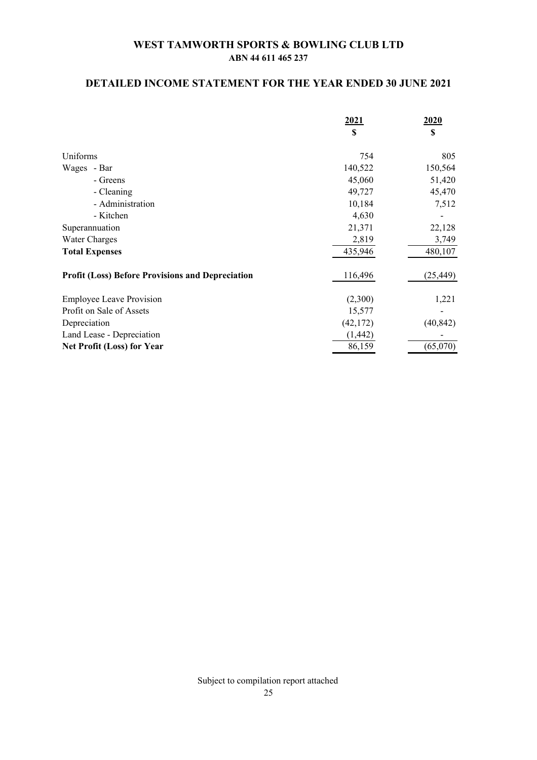## **DETAILED INCOME STATEMENT FOR THE YEAR ENDED 30 JUNE 2021**

|                                                         | 2021<br>S | 2020<br>\$ |
|---------------------------------------------------------|-----------|------------|
|                                                         |           |            |
| Uniforms                                                | 754       | 805        |
| Wages - Bar                                             | 140,522   | 150,564    |
| - Greens                                                | 45,060    | 51,420     |
| - Cleaning                                              | 49,727    | 45,470     |
| - Administration                                        | 10,184    | 7,512      |
| - Kitchen                                               | 4,630     |            |
| Superannuation                                          | 21,371    | 22,128     |
| Water Charges                                           | 2,819     | 3,749      |
| <b>Total Expenses</b>                                   | 435,946   | 480,107    |
| <b>Profit (Loss) Before Provisions and Depreciation</b> | 116,496   | (25, 449)  |
| <b>Employee Leave Provision</b>                         | (2,300)   | 1,221      |
| Profit on Sale of Assets                                | 15,577    |            |
| Depreciation                                            | (42, 172) | (40, 842)  |
| Land Lease - Depreciation                               | (1, 442)  |            |
| <b>Net Profit (Loss) for Year</b>                       | 86,159    | (65,070)   |